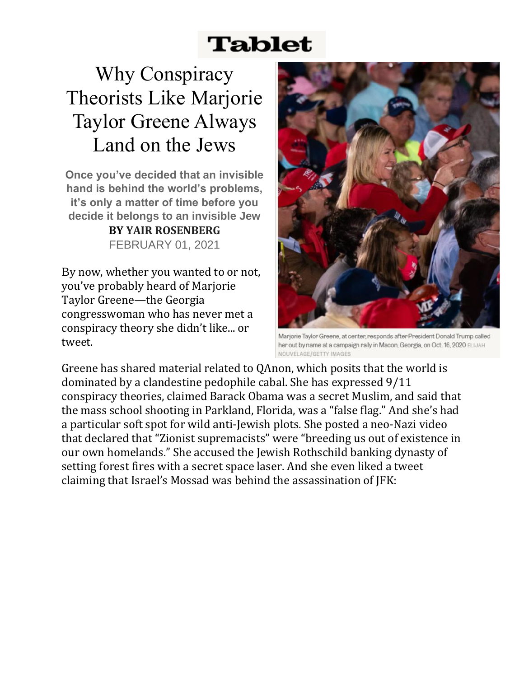## **Tablet**

Why Conspiracy Theorists Like Marjorie Taylor Greene Always Land on the Jews

**Once you've decided that an invisible hand is behind the world's problems, it's only a matter of time before you decide it belongs to an invisible Jew BY YAIR ROSENBERG**  FEBRUARY 01, 2021

By now, whether you wanted to or not, you've probably heard of Marjorie Taylor Greene—the Georgia congresswoman who has never met a conspiracy theory she didn't like... or tweet.



Marjorie Taylor Greene, at center, responds after President Donald Trump called her out by name at a campaign rally in Macon, Georgia, on Oct. 16, 2020 ELIJAH NOUVELAGE/GETTY IMAGES

Greene has shared material related to QAnon, which posits that the world is dominated by a clandestine pedophile cabal. She has [expressed](https://www.mediamatters.org/congress/qanon-candidate-marjorie-taylor-greene-911-conspiracy-theorist-who-claimed-theres-no) 9/11 conspiracy theories, [claimed](https://www.thedailybeast.com/future-qanon-congresswoman-marjorie-taylor-greene-has-also-pushed-911-conspiracy-theory) Barack Obama was a secret Muslim, and [said](https://www.cnn.com/2021/01/22/us/parkland-shooting-marjorie-taylor-greene/index.html) that the mass school shooting in Parkland, Florida, was a "false flag." And she's had a particular soft spot for wild anti-Jewish plots. She [posted](https://www.jpost.com/diaspora/antisemitism/marjorie-taylor-greene-shared-antisemitic-and-islamophobic-video-640093) a neo-Nazi video that declared that "Zionist supremacists" were "breeding us out of existence in our own homelands." She [accused](https://www.jta.org/quick-reads/marjorie-taylor-greene-blamed-a-deadly-forest-fire-on-rothschild-inc-and-lasers-from-space) the Jewish Rothschild banking dynasty of setting forest fires with a secret space laser. And she even liked a tweet claiming that Israel's Mossad was behind the assassination of JFK: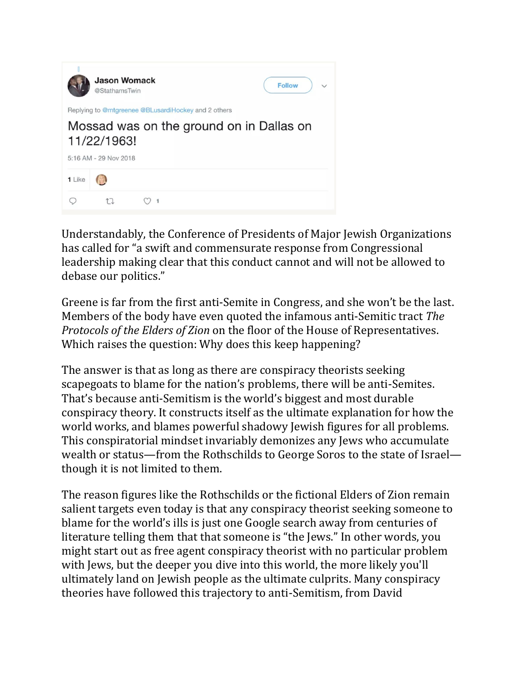

Understandably, the Conference of Presidents of Major Jewish Organizations has [called](https://www.conferenceofpresidents.org/news/press/2021/jan29/jewish-leaders-denounce-antisemitic-conspiracies-spread-representative) for "a swift and commensurate response from Congressional leadership making clear that this conduct cannot and will not be allowed to debase our politics."

Greene is far from the [first](https://www.tabletmag.com/sections/news/articles/republican-rep-steve-king-endorses-fringe-anti-semitic-toronto-mayoral-candidate) [anti-Semite](https://www.salon.com/2009/12/04/mckinney_2/) in Congress, and she won't be the last. Members of the body have even [quoted](https://books.google.com/books?id=nDJoQK0kqdoC&lpg=PA1296&ots=pu3oJiWXm-&dq=Mr.%20Chairman%2C%20the%20provisions%20of%20this%20repudiation%20bill%20were%20foretold%20by%20a%20writer%20in%20the%20Dearborn%20Independent%20some%20years%20ago.%20There%20is%2C%20therefore%2C%20nothing%20novel%20or%20original%20about%20them.%20The%20writer%20of%20the%20article%20in%20the%20Dearborn%20Independent%20made%20the%20following%20quotation%20prophesying%20some%20of%20the%20measures%20which%20have%20been%20introduced%20here%20by%20the%20President%20of%20the%20United%20States%3A&pg=PA1296#v=onepage&q&f=false) the infamous anti-Semitic tract *The Protocols of the Elders of Zion* on the floor of the House of Representatives. Which raises the question: Why does this keep happening?

The answer is that as long as there are conspiracy theorists seeking scapegoats to blame for the nation's problems, there will be anti-Semites. That's because anti-Semitism is the world's biggest and most durable conspiracy theory. It constructs itself as the ultimate explanation for how the world works, and blames powerful shadowy Jewish figures for all problems. This conspiratorial mindset invariably demonizes any Jews who accumulate wealth or status—from the Rothschilds to George Soros to the state of Israel though it is not limited to them.

The reason figures like the Rothschilds or the fictional Elders of Zion remain salient targets even today is that any conspiracy theorist seeking someone to blame for the world's ills is just one Google search away from centuries of literature telling them that that someone is "the Jews." In other words, you might start out as free agent conspiracy theorist with no particular problem with Jews, but the deeper you dive into this world, the more likely you'll ultimately land on Jewish people as the ultimate culprits. Many conspiracy theories have followed this trajectory to anti-Semitism, from David